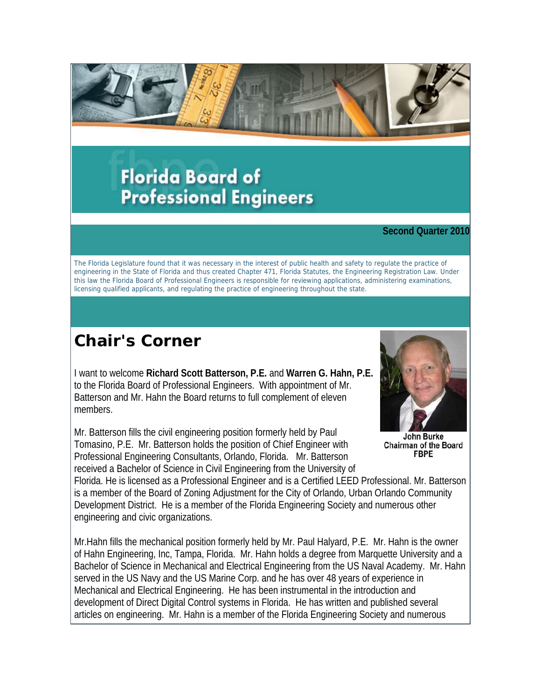

# **Florida Board of Professional Engineers**

#### **Second Quarter 2010**

The Florida Legislature found that it was necessary in the interest of public health and safety to regulate the practice of engineering in the State of Florida and thus created Chapter 471, Florida Statutes, the Engineering Registration Law. Under this law the Florida Board of Professional Engineers is responsible for reviewing applications, administering examinations, licensing qualified applicants, and regulating the practice of engineering throughout the state.

## **Chair's Corner**

I want to welcome **Richard Scott Batterson, P.E.** and **Warren G. Hahn, P.E.** to the Florida Board of Professional Engineers. With appointment of Mr. Batterson and Mr. Hahn the Board returns to full complement of eleven members.

Mr. Batterson fills the civil engineering position formerly held by Paul Tomasino, P.E. Mr. Batterson holds the position of Chief Engineer with Professional Engineering Consultants, Orlando, Florida. Mr. Batterson received a Bachelor of Science in Civil Engineering from the University of



John Burke **Chairman of the Board FBPE** 

Florida. He is licensed as a Professional Engineer and is a Certified LEED Professional. Mr. Batterson is a member of the Board of Zoning Adjustment for the City of Orlando, Urban Orlando Community Development District. He is a member of the Florida Engineering Society and numerous other engineering and civic organizations.

Mr.Hahn fills the mechanical position formerly held by Mr. Paul Halyard, P.E. Mr. Hahn is the owner of Hahn Engineering, Inc, Tampa, Florida. Mr. Hahn holds a degree from Marquette University and a Bachelor of Science in Mechanical and Electrical Engineering from the US Naval Academy. Mr. Hahn served in the US Navy and the US Marine Corp. and he has over 48 years of experience in Mechanical and Electrical Engineering. He has been instrumental in the introduction and development of Direct Digital Control systems in Florida. He has written and published several articles on engineering. Mr. Hahn is a member of the Florida Engineering Society and numerous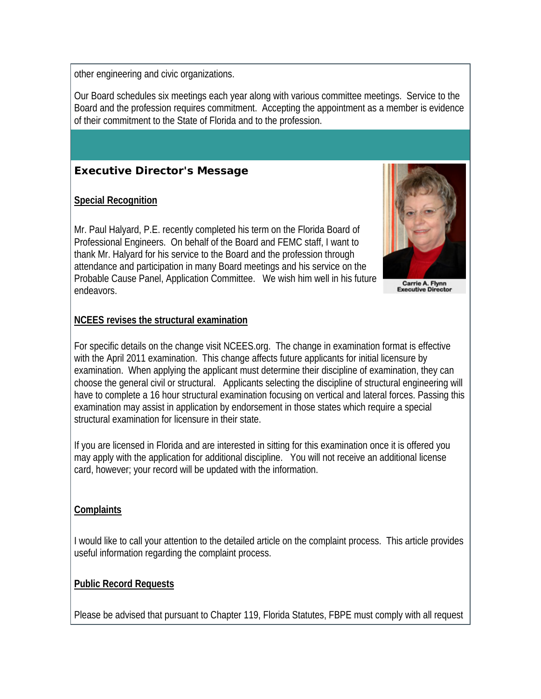other engineering and civic organizations.

Our Board schedules six meetings each year along with various committee meetings. Service to the Board and the profession requires commitment. Accepting the appointment as a member is evidence of their commitment to the State of Florida and to the profession.



### **Special Recognition**

Mr. Paul Halyard, P.E. recently completed his term on the Florida Board of Professional Engineers. On behalf of the Board and FEMC staff, I want to thank Mr. Halyard for his service to the Board and the profession through attendance and participation in many Board meetings and his service on the Probable Cause Panel, Application Committee. We wish him well in his future endeavors.



Carrie A. Flynn<br>Executive Director

### **NCEES revises the structural examination**

For specific details on the change visit NCEES.org. The change in examination format is effective with the April 2011 examination. This change affects future applicants for initial licensure by examination. When applying the applicant must determine their discipline of examination, they can choose the general civil or structural. Applicants selecting the discipline of structural engineering will have to complete a 16 hour structural examination focusing on vertical and lateral forces. Passing this examination may assist in application by endorsement in those states which require a special structural examination for licensure in their state.

If you are licensed in Florida and are interested in sitting for this examination once it is offered you may apply with the application for additional discipline. You will not receive an additional license card, however; your record will be updated with the information.

### **Complaints**

I would like to call your attention to the detailed article on the complaint process. This article provides useful information regarding the complaint process.

### **Public Record Requests**

Please be advised that pursuant to Chapter 119, Florida Statutes, FBPE must comply with all request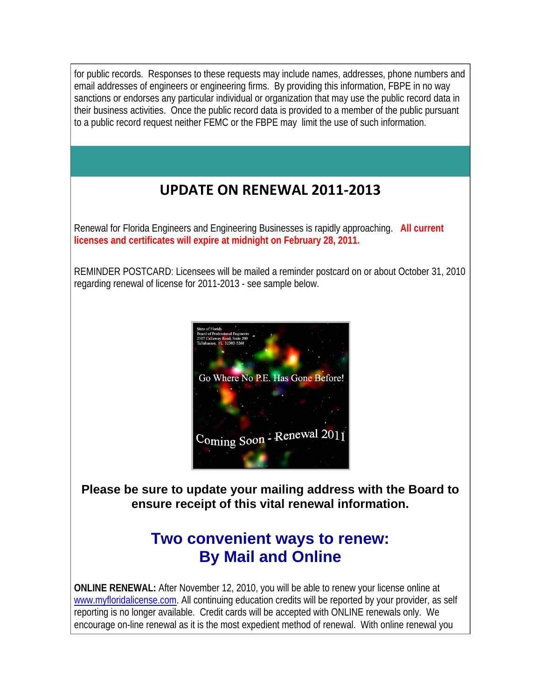for public records. Responses to these requests may include names, addresses, phone numbers and email addresses of engineers or engineering firms. By providing this information, FBPE in no way sanctions or endorses any particular individual or organization that may use the public record data in their business activities. Once the public record data is provided to a member of the public pursuant to a public record request neither FEMC or the FBPE may limit the use of such information.

### **UPDATE ON RENEWAL 2011‐2013**

Renewal for Florida Engineers and Engineering Businesses is rapidly approaching. **All current licenses and certificates will expire at midnight on February 28, 2011.**

REMINDER POSTCARD: Licensees will be mailed a reminder postcard on or about October 31, 2010 regarding renewal of license for 2011-2013 - see sample below.



**Please be sure to update your mailing address with the Board to ensure receipt of this vital renewal information.**

## **Two convenient ways to renew: By Mail and Online**

**ONLINE RENEWAL:** After November 12, 2010, you will be able to renew your license online at www.myfloridalicense.com. All continuing education credits will be reported by your provider, as self reporting is no longer available. Credit cards will be accepted with ONLINE renewals only. We encourage on-line renewal as it is the most expedient method of renewal. With online renewal you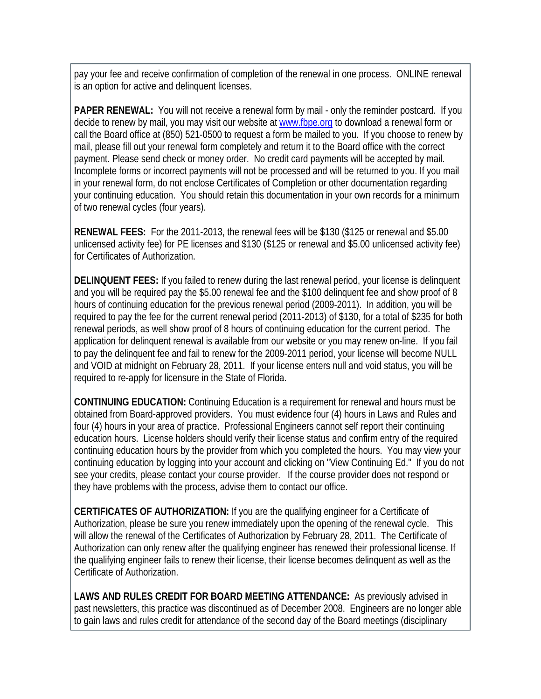pay your fee and receive confirmation of completion of the renewal in one process. ONLINE renewal is an option for active and delinquent licenses.

**PAPER RENEWAL:** You will not receive a renewal form by mail - only the reminder postcard. If you decide to renew by mail, you may visit our website at www.fbpe.org to download a renewal form or call the Board office at (850) 521-0500 to request a form be mailed to you. If you choose to renew by mail, please fill out your renewal form completely and return it to the Board office with the correct payment. Please send check or money order. No credit card payments will be accepted by mail. Incomplete forms or incorrect payments will not be processed and will be returned to you. If you mail in your renewal form, do not enclose Certificates of Completion or other documentation regarding your continuing education. You should retain this documentation in your own records for a minimum of two renewal cycles (four years).

**RENEWAL FEES:** For the 2011-2013, the renewal fees will be \$130 (\$125 or renewal and \$5.00 unlicensed activity fee) for PE licenses and \$130 (\$125 or renewal and \$5.00 unlicensed activity fee) for Certificates of Authorization.

**DELINQUENT FEES:** If you failed to renew during the last renewal period, your license is delinquent and you will be required pay the \$5.00 renewal fee and the \$100 delinquent fee and show proof of 8 hours of continuing education for the previous renewal period (2009-2011). In addition, you will be required to pay the fee for the current renewal period (2011-2013) of \$130, for a total of \$235 for both renewal periods, as well show proof of 8 hours of continuing education for the current period. The application for delinquent renewal is available from our website or you may renew on-line. If you fail to pay the delinquent fee and fail to renew for the 2009-2011 period, your license will become NULL and VOID at midnight on February 28, 2011. If your license enters null and void status, you will be required to re-apply for licensure in the State of Florida.

**CONTINUING EDUCATION:** Continuing Education is a requirement for renewal and hours must be obtained from Board-approved providers. You must evidence four (4) hours in Laws and Rules and four (4) hours in your area of practice. Professional Engineers cannot self report their continuing education hours. License holders should verify their license status and confirm entry of the required continuing education hours by the provider from which you completed the hours. You may view your continuing education by logging into your account and clicking on "View Continuing Ed." If you do not see your credits, please contact your course provider. If the course provider does not respond or they have problems with the process, advise them to contact our office.

**CERTIFICATES OF AUTHORIZATION:** If you are the qualifying engineer for a Certificate of Authorization, please be sure you renew immediately upon the opening of the renewal cycle. This will allow the renewal of the Certificates of Authorization by February 28, 2011. The Certificate of Authorization can only renew after the qualifying engineer has renewed their professional license. If the qualifying engineer fails to renew their license, their license becomes delinquent as well as the Certificate of Authorization.

**LAWS AND RULES CREDIT FOR BOARD MEETING ATTENDANCE:** As previously advised in past newsletters, this practice was discontinued as of December 2008. Engineers are no longer able to gain laws and rules credit for attendance of the second day of the Board meetings (disciplinary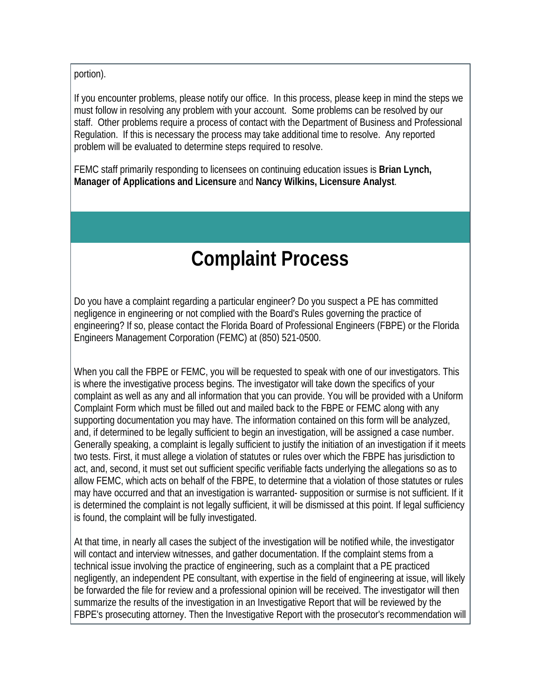portion).

If you encounter problems, please notify our office. In this process, please keep in mind the steps we must follow in resolving any problem with your account. Some problems can be resolved by our staff. Other problems require a process of contact with the Department of Business and Professional Regulation. If this is necessary the process may take additional time to resolve. Any reported problem will be evaluated to determine steps required to resolve.

FEMC staff primarily responding to licensees on continuing education issues is **Brian Lynch, Manager of Applications and Licensure** and **Nancy Wilkins, Licensure Analyst**.

# **Complaint Process**

Do you have a complaint regarding a particular engineer? Do you suspect a PE has committed negligence in engineering or not complied with the Board's Rules governing the practice of engineering? If so, please contact the Florida Board of Professional Engineers (FBPE) or the Florida Engineers Management Corporation (FEMC) at (850) 521-0500.

When you call the FBPE or FEMC, you will be requested to speak with one of our investigators. This is where the investigative process begins. The investigator will take down the specifics of your complaint as well as any and all information that you can provide. You will be provided with a Uniform Complaint Form which must be filled out and mailed back to the FBPE or FEMC along with any supporting documentation you may have. The information contained on this form will be analyzed, and, if determined to be legally sufficient to begin an investigation, will be assigned a case number. Generally speaking, a complaint is legally sufficient to justify the initiation of an investigation if it meets two tests. First, it must allege a violation of statutes or rules over which the FBPE has jurisdiction to act, and, second, it must set out sufficient specific verifiable facts underlying the allegations so as to allow FEMC, which acts on behalf of the FBPE, to determine that a violation of those statutes or rules may have occurred and that an investigation is warranted- supposition or surmise is not sufficient. If it is determined the complaint is not legally sufficient, it will be dismissed at this point. If legal sufficiency is found, the complaint will be fully investigated.

At that time, in nearly all cases the subject of the investigation will be notified while, the investigator will contact and interview witnesses, and gather documentation. If the complaint stems from a technical issue involving the practice of engineering, such as a complaint that a PE practiced negligently, an independent PE consultant, with expertise in the field of engineering at issue, will likely be forwarded the file for review and a professional opinion will be received. The investigator will then summarize the results of the investigation in an Investigative Report that will be reviewed by the FBPE's prosecuting attorney. Then the Investigative Report with the prosecutor's recommendation will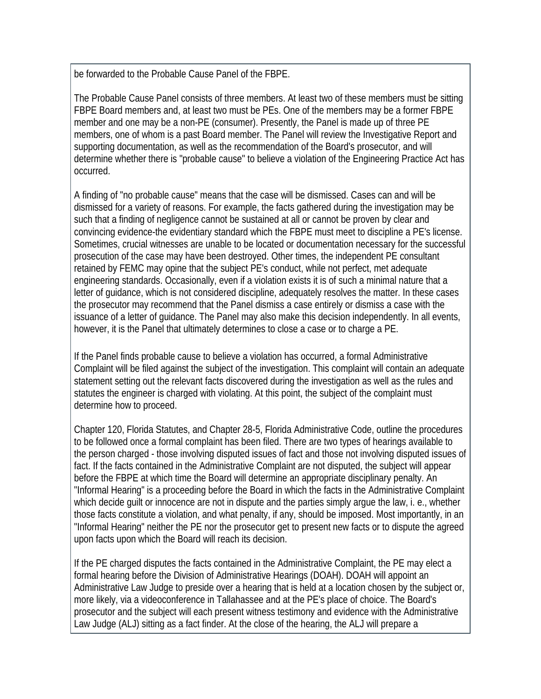be forwarded to the Probable Cause Panel of the FBPE.

The Probable Cause Panel consists of three members. At least two of these members must be sitting FBPE Board members and, at least two must be PEs. One of the members may be a former FBPE member and one may be a non-PE (consumer). Presently, the Panel is made up of three PE members, one of whom is a past Board member. The Panel will review the Investigative Report and supporting documentation, as well as the recommendation of the Board's prosecutor, and will determine whether there is "probable cause" to believe a violation of the Engineering Practice Act has occurred.

A finding of "no probable cause" means that the case will be dismissed. Cases can and will be dismissed for a variety of reasons. For example, the facts gathered during the investigation may be such that a finding of negligence cannot be sustained at all or cannot be proven by clear and convincing evidence-the evidentiary standard which the FBPE must meet to discipline a PE's license. Sometimes, crucial witnesses are unable to be located or documentation necessary for the successful prosecution of the case may have been destroyed. Other times, the independent PE consultant retained by FEMC may opine that the subject PE's conduct, while not perfect, met adequate engineering standards. Occasionally, even if a violation exists it is of such a minimal nature that a letter of guidance, which is not considered discipline, adequately resolves the matter. In these cases the prosecutor may recommend that the Panel dismiss a case entirely or dismiss a case with the issuance of a letter of guidance. The Panel may also make this decision independently. In all events, however, it is the Panel that ultimately determines to close a case or to charge a PE.

If the Panel finds probable cause to believe a violation has occurred, a formal Administrative Complaint will be filed against the subject of the investigation. This complaint will contain an adequate statement setting out the relevant facts discovered during the investigation as well as the rules and statutes the engineer is charged with violating. At this point, the subject of the complaint must determine how to proceed.

Chapter 120, Florida Statutes, and Chapter 28-5, Florida Administrative Code, outline the procedures to be followed once a formal complaint has been filed. There are two types of hearings available to the person charged - those involving disputed issues of fact and those not involving disputed issues of fact. If the facts contained in the Administrative Complaint are not disputed, the subject will appear before the FBPE at which time the Board will determine an appropriate disciplinary penalty. An "Informal Hearing" is a proceeding before the Board in which the facts in the Administrative Complaint which decide guilt or innocence are not in dispute and the parties simply argue the law, i. e., whether those facts constitute a violation, and what penalty, if any, should be imposed. Most importantly, in an "Informal Hearing" neither the PE nor the prosecutor get to present new facts or to dispute the agreed upon facts upon which the Board will reach its decision.

If the PE charged disputes the facts contained in the Administrative Complaint, the PE may elect a formal hearing before the Division of Administrative Hearings (DOAH). DOAH will appoint an Administrative Law Judge to preside over a hearing that is held at a location chosen by the subject or, more likely, via a videoconference in Tallahassee and at the PE's place of choice. The Board's prosecutor and the subject will each present witness testimony and evidence with the Administrative Law Judge (ALJ) sitting as a fact finder. At the close of the hearing, the ALJ will prepare a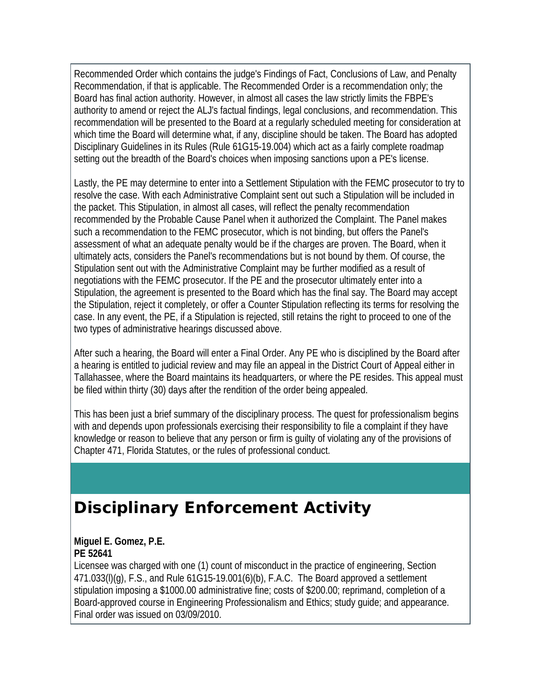Recommended Order which contains the judge's Findings of Fact, Conclusions of Law, and Penalty Recommendation, if that is applicable. The Recommended Order is a recommendation only; the Board has final action authority. However, in almost all cases the law strictly limits the FBPE's authority to amend or reject the ALJ's factual findings, legal conclusions, and recommendation. This recommendation will be presented to the Board at a regularly scheduled meeting for consideration at which time the Board will determine what, if any, discipline should be taken. The Board has adopted Disciplinary Guidelines in its Rules (Rule 61G15-19.004) which act as a fairly complete roadmap setting out the breadth of the Board's choices when imposing sanctions upon a PE's license.

Lastly, the PE may determine to enter into a Settlement Stipulation with the FEMC prosecutor to try to resolve the case. With each Administrative Complaint sent out such a Stipulation will be included in the packet. This Stipulation, in almost all cases, will reflect the penalty recommendation recommended by the Probable Cause Panel when it authorized the Complaint. The Panel makes such a recommendation to the FEMC prosecutor, which is not binding, but offers the Panel's assessment of what an adequate penalty would be if the charges are proven. The Board, when it ultimately acts, considers the Panel's recommendations but is not bound by them. Of course, the Stipulation sent out with the Administrative Complaint may be further modified as a result of negotiations with the FEMC prosecutor. If the PE and the prosecutor ultimately enter into a Stipulation, the agreement is presented to the Board which has the final say. The Board may accept the Stipulation, reject it completely, or offer a Counter Stipulation reflecting its terms for resolving the case. In any event, the PE, if a Stipulation is rejected, still retains the right to proceed to one of the two types of administrative hearings discussed above.

After such a hearing, the Board will enter a Final Order. Any PE who is disciplined by the Board after a hearing is entitled to judicial review and may file an appeal in the District Court of Appeal either in Tallahassee, where the Board maintains its headquarters, or where the PE resides. This appeal must be filed within thirty (30) days after the rendition of the order being appealed.

This has been just a brief summary of the disciplinary process. The quest for professionalism begins with and depends upon professionals exercising their responsibility to file a complaint if they have knowledge or reason to believe that any person or firm is guilty of violating any of the provisions of Chapter 471, Florida Statutes, or the rules of professional conduct.

## **Disciplinary Enforcement Activity**

### **Miguel E. Gomez, P.E. PE 52641**

Licensee was charged with one (1) count of misconduct in the practice of engineering, Section 471.033(l)(g), F.S., and Rule 61G15-19.001(6)(b), F.A.C. The Board approved a settlement stipulation imposing a \$1000.00 administrative fine; costs of \$200.00; reprimand, completion of a Board-approved course in Engineering Professionalism and Ethics; study guide; and appearance. Final order was issued on 03/09/2010.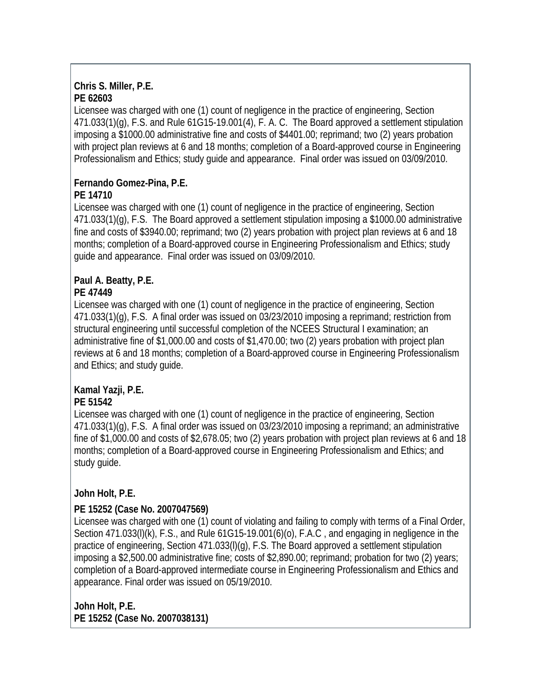### **Chris S. Miller, P.E. PE 62603**

Licensee was charged with one (1) count of negligence in the practice of engineering, Section 471.033(1)(g), F.S. and Rule 61G15-19.001(4), F. A. C. The Board approved a settlement stipulation imposing a \$1000.00 administrative fine and costs of \$4401.00; reprimand; two (2) years probation with project plan reviews at 6 and 18 months; completion of a Board-approved course in Engineering Professionalism and Ethics; study guide and appearance. Final order was issued on 03/09/2010.

### **Fernando Gomez-Pina, P.E.**

### **PE 14710**

Licensee was charged with one (1) count of negligence in the practice of engineering, Section 471.033(1)(g), F.S. The Board approved a settlement stipulation imposing a \$1000.00 administrative fine and costs of \$3940.00; reprimand; two (2) years probation with project plan reviews at 6 and 18 months; completion of a Board-approved course in Engineering Professionalism and Ethics; study guide and appearance. Final order was issued on 03/09/2010.

### **Paul A. Beatty, P.E. PE 47449**

Licensee was charged with one (1) count of negligence in the practice of engineering, Section 471.033(1)(g), F.S. A final order was issued on 03/23/2010 imposing a reprimand; restriction from structural engineering until successful completion of the NCEES Structural I examination; an administrative fine of \$1,000.00 and costs of \$1,470.00; two (2) years probation with project plan reviews at 6 and 18 months; completion of a Board-approved course in Engineering Professionalism and Ethics; and study guide.

### **Kamal Yazji, P.E. PE 51542**

Licensee was charged with one (1) count of negligence in the practice of engineering, Section 471.033(1)(g), F.S. A final order was issued on 03/23/2010 imposing a reprimand; an administrative fine of \$1,000.00 and costs of \$2,678.05; two (2) years probation with project plan reviews at 6 and 18 months; completion of a Board-approved course in Engineering Professionalism and Ethics; and study guide.

### **John Holt, P.E.**

### **PE 15252 (Case No. 2007047569)**

Licensee was charged with one (1) count of violating and failing to comply with terms of a Final Order, Section 471.033(I)(k), F.S., and Rule 61G15-19.001(6)(o), F.A.C, and engaging in negligence in the practice of engineering, Section 471.033(I)(g), F.S. The Board approved a settlement stipulation imposing a \$2,500.00 administrative fine; costs of \$2,890.00; reprimand; probation for two (2) years; completion of a Board-approved intermediate course in Engineering Professionalism and Ethics and appearance. Final order was issued on 05/19/2010.

**John Holt, P.E. PE 15252 (Case No. 2007038131)**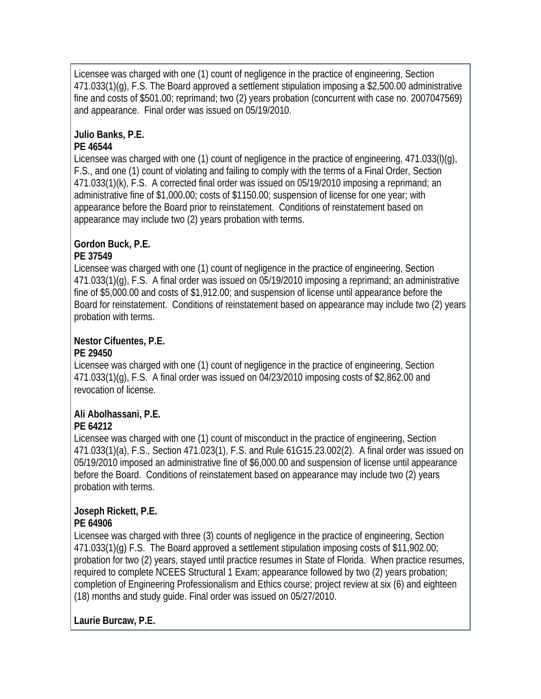Licensee was charged with one (1) count of negligence in the practice of engineering, Section 471.033(1)(g), F.S. The Board approved a settlement stipulation imposing a \$2,500.00 administrative fine and costs of \$501.00; reprimand; two (2) years probation (concurrent with case no. 2007047569) and appearance. Final order was issued on 05/19/2010.

# **Julio Banks, P.E.**

### **PE 46544**

Licensee was charged with one (1) count of negligence in the practice of engineering, 471.033(I)(g), F.S., and one (1) count of violating and failing to comply with the terms of a Final Order, Section 471.033(1)(k), F.S. A corrected final order was issued on 05/19/2010 imposing a reprimand; an administrative fine of \$1,000.00; costs of \$1150.00; suspension of license for one year; with appearance before the Board prior to reinstatement. Conditions of reinstatement based on appearance may include two (2) years probation with terms.

### **Gordon Buck, P.E.**

### **PE 37549**

Licensee was charged with one (1) count of negligence in the practice of engineering, Section 471.033(1)(g), F.S. A final order was issued on 05/19/2010 imposing a reprimand; an administrative fine of \$5,000.00 and costs of \$1,912.00; and suspension of license until appearance before the Board for reinstatement. Conditions of reinstatement based on appearance may include two (2) years probation with terms.

### **Nestor Cifuentes, P.E. PE 29450**

Licensee was charged with one (1) count of negligence in the practice of engineering, Section 471.033(1)(g), F.S. A final order was issued on 04/23/2010 imposing costs of \$2,862.00 and revocation of license.

### **Ali Abolhassani, P.E. PE 64212**

Licensee was charged with one (1) count of misconduct in the practice of engineering, Section 471.033(1)(a), F.S., Section 471.023(1), F.S. and Rule 61G15.23.002(2). A final order was issued on 05/19/2010 imposed an administrative fine of \$6,000.00 and suspension of license until appearance before the Board. Conditions of reinstatement based on appearance may include two (2) years probation with terms.

### **Joseph Rickett, P.E. PE 64906**

Licensee was charged with three (3) counts of negligence in the practice of engineering, Section 471.033(1)(g) F.S. The Board approved a settlement stipulation imposing costs of \$11,902.00; probation for two (2) years, stayed until practice resumes in State of Florida. When practice resumes, required to complete NCEES Structural 1 Exam; appearance followed by two (2) years probation; completion of Engineering Professionalism and Ethics course; project review at six (6) and eighteen (18) months and study guide. Final order was issued on 05/27/2010.

### **Laurie Burcaw, P.E.**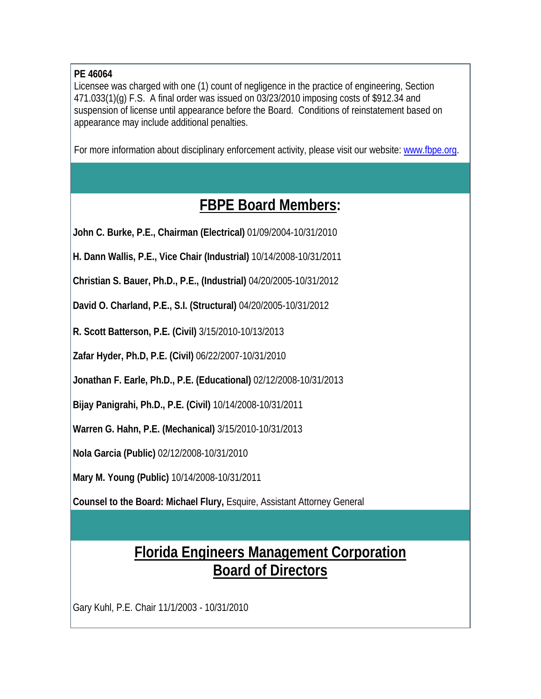### **PE 46064**

Licensee was charged with one (1) count of negligence in the practice of engineering, Section 471.033(1)(g) F.S. A final order was issued on 03/23/2010 imposing costs of \$912.34 and suspension of license until appearance before the Board. Conditions of reinstatement based on appearance may include additional penalties.

For more information about disciplinary enforcement activity, please visit our website: www.fbpe.org.

### **FBPE Board Members:**

**John C. Burke, P.E., Chairman (Electrical)** 01/09/2004-10/31/2010

**H. Dann Wallis, P.E., Vice Chair (Industrial)** 10/14/2008-10/31/2011

**Christian S. Bauer, Ph.D., P.E., (Industrial)** 04/20/2005-10/31/2012

**David O. Charland, P.E., S.I. (Structural)** 04/20/2005-10/31/2012

**R. Scott Batterson, P.E. (Civil)** 3/15/2010-10/13/2013

**Zafar Hyder, Ph.D, P.E. (Civil)** 06/22/2007-10/31/2010

**Jonathan F. Earle, Ph.D., P.E. (Educational)** 02/12/2008-10/31/2013

**Bijay Panigrahi, Ph.D., P.E. (Civil)** 10/14/2008-10/31/2011

**Warren G. Hahn, P.E. (Mechanical)** 3/15/2010-10/31/2013

**Nola Garcia (Public)** 02/12/2008-10/31/2010

**Mary M. Young (Public)** 10/14/2008-10/31/2011

**Counsel to the Board: Michael Flury,** Esquire, Assistant Attorney General

## **Florida Engineers Management Corporation Board of Directors**

Gary Kuhl, P.E. Chair 11/1/2003 - 10/31/2010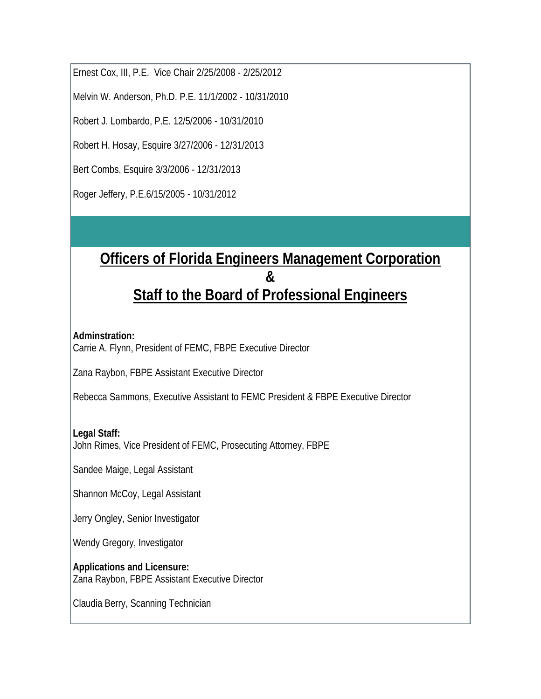Ernest Cox, III, P.E. Vice Chair 2/25/2008 - 2/25/2012

Melvin W. Anderson, Ph.D. P.E. 11/1/2002 - 10/31/2010

Robert J. Lombardo, P.E. 12/5/2006 - 10/31/2010

Robert H. Hosay, Esquire 3/27/2006 - 12/31/2013

Bert Combs, Esquire 3/3/2006 - 12/31/2013

Roger Jeffery, P.E.6/15/2005 - 10/31/2012

## **Officers of Florida Engineers Management Corporation & Staff to the Board of Professional Engineers**

#### **Adminstration:**

Carrie A. Flynn, President of FEMC, FBPE Executive Director

Zana Raybon, FBPE Assistant Executive Director

Rebecca Sammons, Executive Assistant to FEMC President & FBPE Executive Director

### **Legal Staff:**

John Rimes, Vice President of FEMC, Prosecuting Attorney, FBPE

Sandee Maige, Legal Assistant

Shannon McCoy, Legal Assistant

Jerry Ongley, Senior Investigator

Wendy Gregory, Investigator

**Applications and Licensure:** Zana Raybon, FBPE Assistant Executive Director

Claudia Berry, Scanning Technician